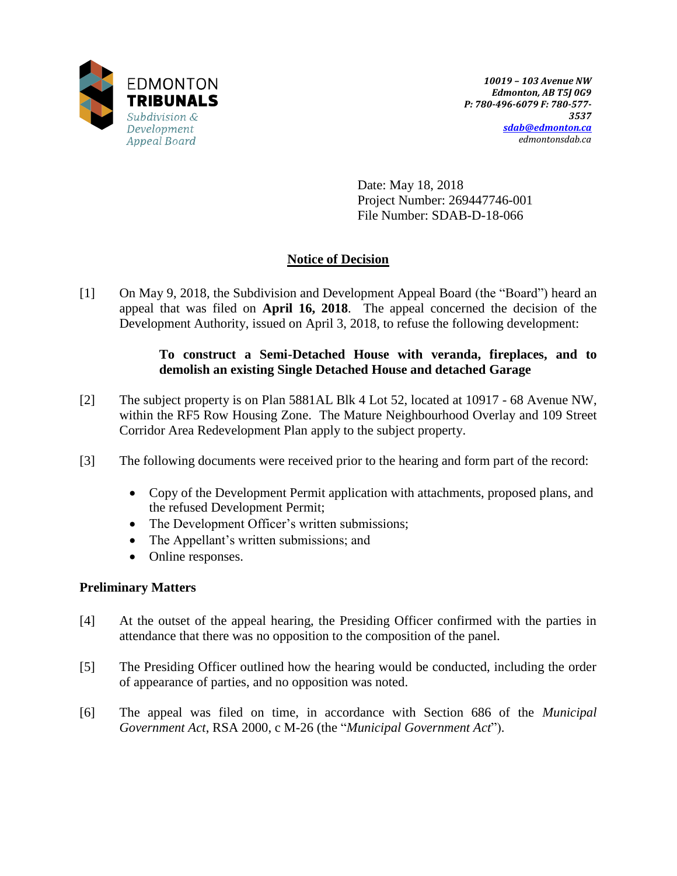

Date: May 18, 2018 Project Number: 269447746-001 File Number: SDAB-D-18-066

# **Notice of Decision**

[1] On May 9, 2018, the Subdivision and Development Appeal Board (the "Board") heard an appeal that was filed on **April 16, 2018**. The appeal concerned the decision of the Development Authority, issued on April 3, 2018, to refuse the following development:

## **To construct a Semi-Detached House with veranda, fireplaces, and to demolish an existing Single Detached House and detached Garage**

- [2] The subject property is on Plan 5881AL Blk 4 Lot 52, located at 10917 68 Avenue NW, within the RF5 Row Housing Zone. The Mature Neighbourhood Overlay and 109 Street Corridor Area Redevelopment Plan apply to the subject property.
- [3] The following documents were received prior to the hearing and form part of the record:
	- Copy of the Development Permit application with attachments, proposed plans, and the refused Development Permit;
	- The Development Officer's written submissions;
	- The Appellant's written submissions; and
	- Online responses.

## **Preliminary Matters**

- [4] At the outset of the appeal hearing, the Presiding Officer confirmed with the parties in attendance that there was no opposition to the composition of the panel.
- [5] The Presiding Officer outlined how the hearing would be conducted, including the order of appearance of parties, and no opposition was noted.
- [6] The appeal was filed on time, in accordance with Section 686 of the *Municipal Government Act*, RSA 2000, c M-26 (the "*Municipal Government Act*").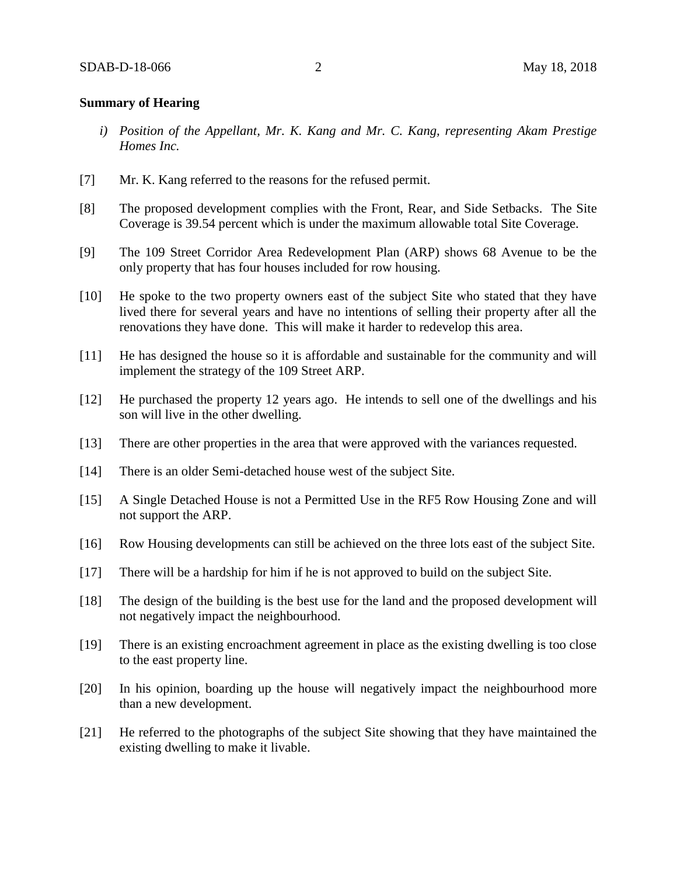#### **Summary of Hearing**

- *i) Position of the Appellant, Mr. K. Kang and Mr. C. Kang, representing Akam Prestige Homes Inc.*
- [7] Mr. K. Kang referred to the reasons for the refused permit.
- [8] The proposed development complies with the Front, Rear, and Side Setbacks. The Site Coverage is 39.54 percent which is under the maximum allowable total Site Coverage.
- [9] The 109 Street Corridor Area Redevelopment Plan (ARP) shows 68 Avenue to be the only property that has four houses included for row housing.
- [10] He spoke to the two property owners east of the subject Site who stated that they have lived there for several years and have no intentions of selling their property after all the renovations they have done. This will make it harder to redevelop this area.
- [11] He has designed the house so it is affordable and sustainable for the community and will implement the strategy of the 109 Street ARP.
- [12] He purchased the property 12 years ago. He intends to sell one of the dwellings and his son will live in the other dwelling.
- [13] There are other properties in the area that were approved with the variances requested.
- [14] There is an older Semi-detached house west of the subject Site.
- [15] A Single Detached House is not a Permitted Use in the RF5 Row Housing Zone and will not support the ARP.
- [16] Row Housing developments can still be achieved on the three lots east of the subject Site.
- [17] There will be a hardship for him if he is not approved to build on the subject Site.
- [18] The design of the building is the best use for the land and the proposed development will not negatively impact the neighbourhood.
- [19] There is an existing encroachment agreement in place as the existing dwelling is too close to the east property line.
- [20] In his opinion, boarding up the house will negatively impact the neighbourhood more than a new development.
- [21] He referred to the photographs of the subject Site showing that they have maintained the existing dwelling to make it livable.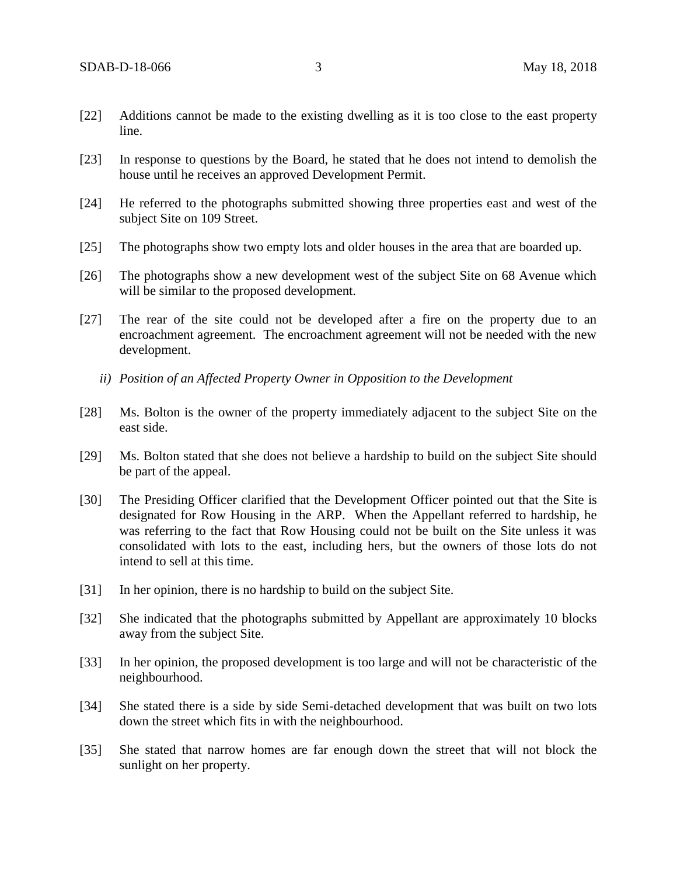- [22] Additions cannot be made to the existing dwelling as it is too close to the east property line.
- [23] In response to questions by the Board, he stated that he does not intend to demolish the house until he receives an approved Development Permit.
- [24] He referred to the photographs submitted showing three properties east and west of the subject Site on 109 Street.
- [25] The photographs show two empty lots and older houses in the area that are boarded up.
- [26] The photographs show a new development west of the subject Site on 68 Avenue which will be similar to the proposed development.
- [27] The rear of the site could not be developed after a fire on the property due to an encroachment agreement. The encroachment agreement will not be needed with the new development.
	- *ii) Position of an Affected Property Owner in Opposition to the Development*
- [28] Ms. Bolton is the owner of the property immediately adjacent to the subject Site on the east side.
- [29] Ms. Bolton stated that she does not believe a hardship to build on the subject Site should be part of the appeal.
- [30] The Presiding Officer clarified that the Development Officer pointed out that the Site is designated for Row Housing in the ARP. When the Appellant referred to hardship, he was referring to the fact that Row Housing could not be built on the Site unless it was consolidated with lots to the east, including hers, but the owners of those lots do not intend to sell at this time.
- [31] In her opinion, there is no hardship to build on the subject Site.
- [32] She indicated that the photographs submitted by Appellant are approximately 10 blocks away from the subject Site.
- [33] In her opinion, the proposed development is too large and will not be characteristic of the neighbourhood.
- [34] She stated there is a side by side Semi-detached development that was built on two lots down the street which fits in with the neighbourhood.
- [35] She stated that narrow homes are far enough down the street that will not block the sunlight on her property.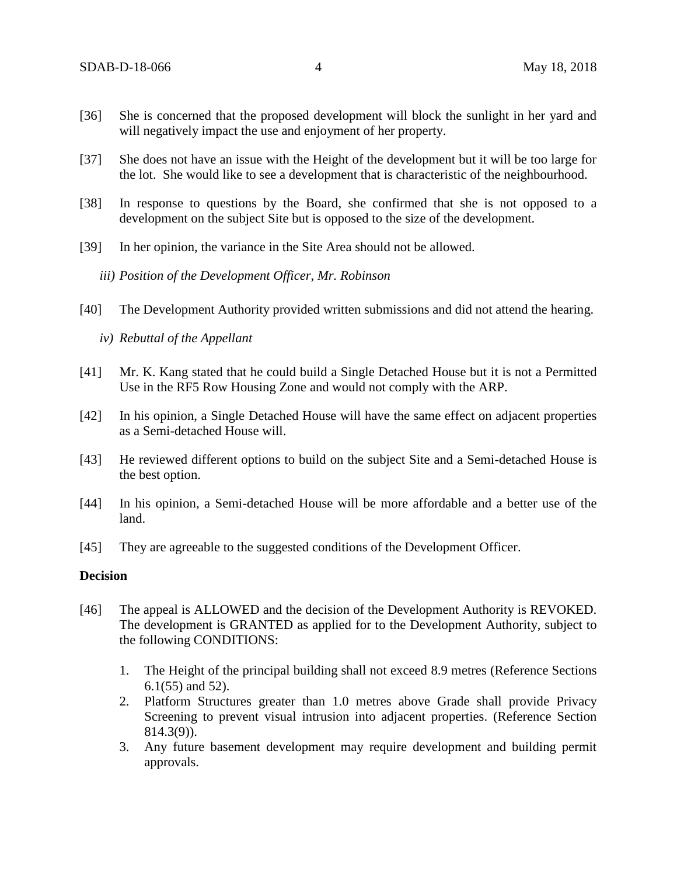- [36] She is concerned that the proposed development will block the sunlight in her yard and will negatively impact the use and enjoyment of her property.
- [37] She does not have an issue with the Height of the development but it will be too large for the lot. She would like to see a development that is characteristic of the neighbourhood.
- [38] In response to questions by the Board, she confirmed that she is not opposed to a development on the subject Site but is opposed to the size of the development.
- [39] In her opinion, the variance in the Site Area should not be allowed.
	- *iii) Position of the Development Officer, Mr. Robinson*
- [40] The Development Authority provided written submissions and did not attend the hearing.
	- *iv) Rebuttal of the Appellant*
- [41] Mr. K. Kang stated that he could build a Single Detached House but it is not a Permitted Use in the RF5 Row Housing Zone and would not comply with the ARP.
- [42] In his opinion, a Single Detached House will have the same effect on adjacent properties as a Semi-detached House will.
- [43] He reviewed different options to build on the subject Site and a Semi-detached House is the best option.
- [44] In his opinion, a Semi-detached House will be more affordable and a better use of the land.
- [45] They are agreeable to the suggested conditions of the Development Officer.

#### **Decision**

- [46] The appeal is ALLOWED and the decision of the Development Authority is REVOKED. The development is GRANTED as applied for to the Development Authority, subject to the following CONDITIONS:
	- 1. The Height of the principal building shall not exceed 8.9 metres (Reference Sections 6.1(55) and 52).
	- 2. Platform Structures greater than 1.0 metres above Grade shall provide Privacy Screening to prevent visual intrusion into adjacent properties. (Reference Section 814.3(9)).
	- 3. Any future basement development may require development and building permit approvals.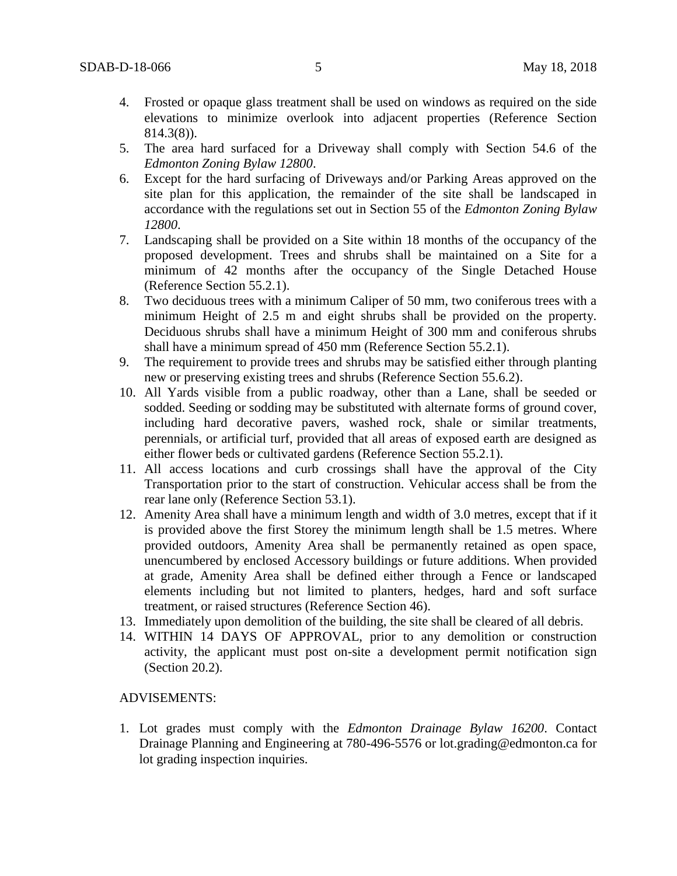- 4. Frosted or opaque glass treatment shall be used on windows as required on the side elevations to minimize overlook into adjacent properties (Reference Section 814.3(8)).
- 5. The area hard surfaced for a Driveway shall comply with Section 54.6 of the *Edmonton Zoning Bylaw 12800*.
- 6. Except for the hard surfacing of Driveways and/or Parking Areas approved on the site plan for this application, the remainder of the site shall be landscaped in accordance with the regulations set out in Section 55 of the *Edmonton Zoning Bylaw 12800*.
- 7. Landscaping shall be provided on a Site within 18 months of the occupancy of the proposed development. Trees and shrubs shall be maintained on a Site for a minimum of 42 months after the occupancy of the Single Detached House (Reference Section 55.2.1).
- 8. Two deciduous trees with a minimum Caliper of 50 mm, two coniferous trees with a minimum Height of 2.5 m and eight shrubs shall be provided on the property. Deciduous shrubs shall have a minimum Height of 300 mm and coniferous shrubs shall have a minimum spread of 450 mm (Reference Section 55.2.1).
- 9. The requirement to provide trees and shrubs may be satisfied either through planting new or preserving existing trees and shrubs (Reference Section 55.6.2).
- 10. All Yards visible from a public roadway, other than a Lane, shall be seeded or sodded. Seeding or sodding may be substituted with alternate forms of ground cover, including hard decorative pavers, washed rock, shale or similar treatments, perennials, or artificial turf, provided that all areas of exposed earth are designed as either flower beds or cultivated gardens (Reference Section 55.2.1).
- 11. All access locations and curb crossings shall have the approval of the City Transportation prior to the start of construction. Vehicular access shall be from the rear lane only (Reference Section 53.1).
- 12. Amenity Area shall have a minimum length and width of 3.0 metres, except that if it is provided above the first Storey the minimum length shall be 1.5 metres. Where provided outdoors, Amenity Area shall be permanently retained as open space, unencumbered by enclosed Accessory buildings or future additions. When provided at grade, Amenity Area shall be defined either through a Fence or landscaped elements including but not limited to planters, hedges, hard and soft surface treatment, or raised structures (Reference Section 46).
- 13. Immediately upon demolition of the building, the site shall be cleared of all debris.
- 14. WITHIN 14 DAYS OF APPROVAL, prior to any demolition or construction activity, the applicant must post on-site a development permit notification sign (Section 20.2).

#### ADVISEMENTS:

1. Lot grades must comply with the *Edmonton Drainage Bylaw 16200*. Contact Drainage Planning and Engineering at 780-496-5576 or lot.grading@edmonton.ca for lot grading inspection inquiries.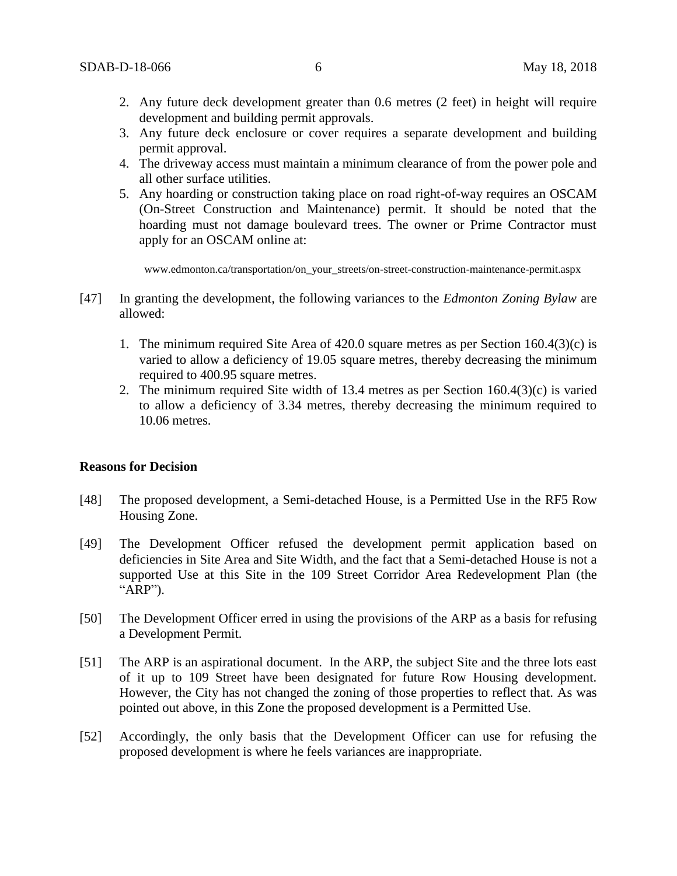- 2. Any future deck development greater than 0.6 metres (2 feet) in height will require development and building permit approvals.
- 3. Any future deck enclosure or cover requires a separate development and building permit approval.
- 4. The driveway access must maintain a minimum clearance of from the power pole and all other surface utilities.
- 5. Any hoarding or construction taking place on road right-of-way requires an OSCAM (On-Street Construction and Maintenance) permit. It should be noted that the hoarding must not damage boulevard trees. The owner or Prime Contractor must apply for an OSCAM online at:

www.edmonton.ca/transportation/on\_your\_streets/on-street-construction-maintenance-permit.aspx

- [47] In granting the development, the following variances to the *Edmonton Zoning Bylaw* are allowed:
	- 1. The minimum required Site Area of 420.0 square metres as per Section 160.4(3)(c) is varied to allow a deficiency of 19.05 square metres, thereby decreasing the minimum required to 400.95 square metres.
	- 2. The minimum required Site width of 13.4 metres as per Section 160.4(3)(c) is varied to allow a deficiency of 3.34 metres, thereby decreasing the minimum required to 10.06 metres.

#### **Reasons for Decision**

- [48] The proposed development, a Semi-detached House, is a Permitted Use in the RF5 Row Housing Zone.
- [49] The Development Officer refused the development permit application based on deficiencies in Site Area and Site Width, and the fact that a Semi-detached House is not a supported Use at this Site in the 109 Street Corridor Area Redevelopment Plan (the "ARP").
- [50] The Development Officer erred in using the provisions of the ARP as a basis for refusing a Development Permit.
- [51] The ARP is an aspirational document. In the ARP, the subject Site and the three lots east of it up to 109 Street have been designated for future Row Housing development. However, the City has not changed the zoning of those properties to reflect that. As was pointed out above, in this Zone the proposed development is a Permitted Use.
- [52] Accordingly, the only basis that the Development Officer can use for refusing the proposed development is where he feels variances are inappropriate.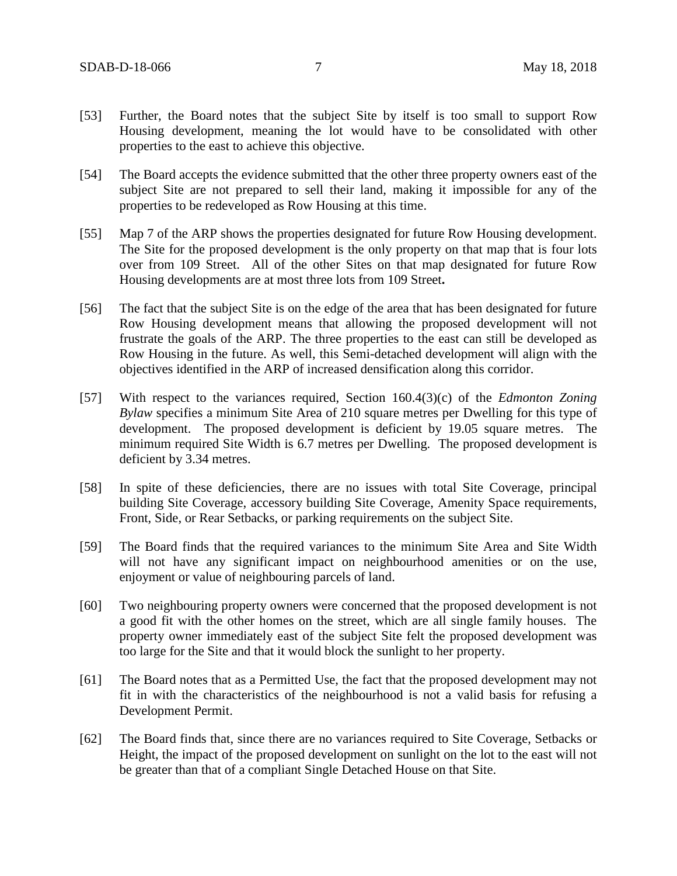- [53] Further, the Board notes that the subject Site by itself is too small to support Row Housing development, meaning the lot would have to be consolidated with other properties to the east to achieve this objective.
- [54] The Board accepts the evidence submitted that the other three property owners east of the subject Site are not prepared to sell their land, making it impossible for any of the properties to be redeveloped as Row Housing at this time.
- [55] Map 7 of the ARP shows the properties designated for future Row Housing development. The Site for the proposed development is the only property on that map that is four lots over from 109 Street. All of the other Sites on that map designated for future Row Housing developments are at most three lots from 109 Street**.**
- [56] The fact that the subject Site is on the edge of the area that has been designated for future Row Housing development means that allowing the proposed development will not frustrate the goals of the ARP. The three properties to the east can still be developed as Row Housing in the future. As well, this Semi-detached development will align with the objectives identified in the ARP of increased densification along this corridor.
- [57] With respect to the variances required, Section 160.4(3)(c) of the *Edmonton Zoning Bylaw* specifies a minimum Site Area of 210 square metres per Dwelling for this type of development. The proposed development is deficient by 19.05 square metres. The minimum required Site Width is 6.7 metres per Dwelling. The proposed development is deficient by 3.34 metres.
- [58] In spite of these deficiencies, there are no issues with total Site Coverage, principal building Site Coverage, accessory building Site Coverage, Amenity Space requirements, Front, Side, or Rear Setbacks, or parking requirements on the subject Site.
- [59] The Board finds that the required variances to the minimum Site Area and Site Width will not have any significant impact on neighbourhood amenities or on the use, enjoyment or value of neighbouring parcels of land.
- [60] Two neighbouring property owners were concerned that the proposed development is not a good fit with the other homes on the street, which are all single family houses. The property owner immediately east of the subject Site felt the proposed development was too large for the Site and that it would block the sunlight to her property.
- [61] The Board notes that as a Permitted Use, the fact that the proposed development may not fit in with the characteristics of the neighbourhood is not a valid basis for refusing a Development Permit.
- [62] The Board finds that, since there are no variances required to Site Coverage, Setbacks or Height, the impact of the proposed development on sunlight on the lot to the east will not be greater than that of a compliant Single Detached House on that Site.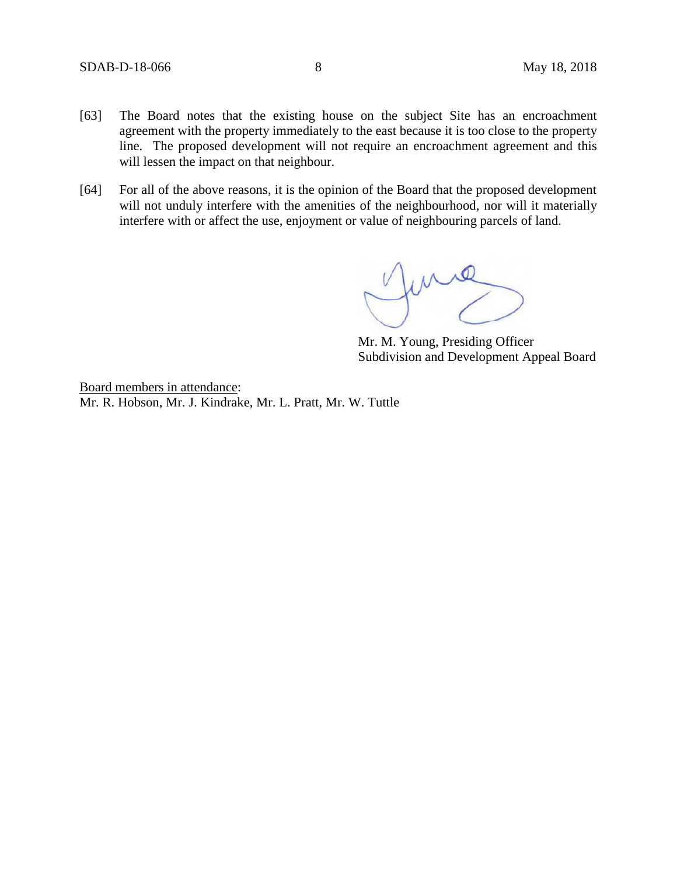- [63] The Board notes that the existing house on the subject Site has an encroachment agreement with the property immediately to the east because it is too close to the property line. The proposed development will not require an encroachment agreement and this will lessen the impact on that neighbour.
- [64] For all of the above reasons, it is the opinion of the Board that the proposed development will not unduly interfere with the amenities of the neighbourhood, nor will it materially interfere with or affect the use, enjoyment or value of neighbouring parcels of land.

funce

Mr. M. Young, Presiding Officer Subdivision and Development Appeal Board

Board members in attendance: Mr. R. Hobson, Mr. J. Kindrake, Mr. L. Pratt, Mr. W. Tuttle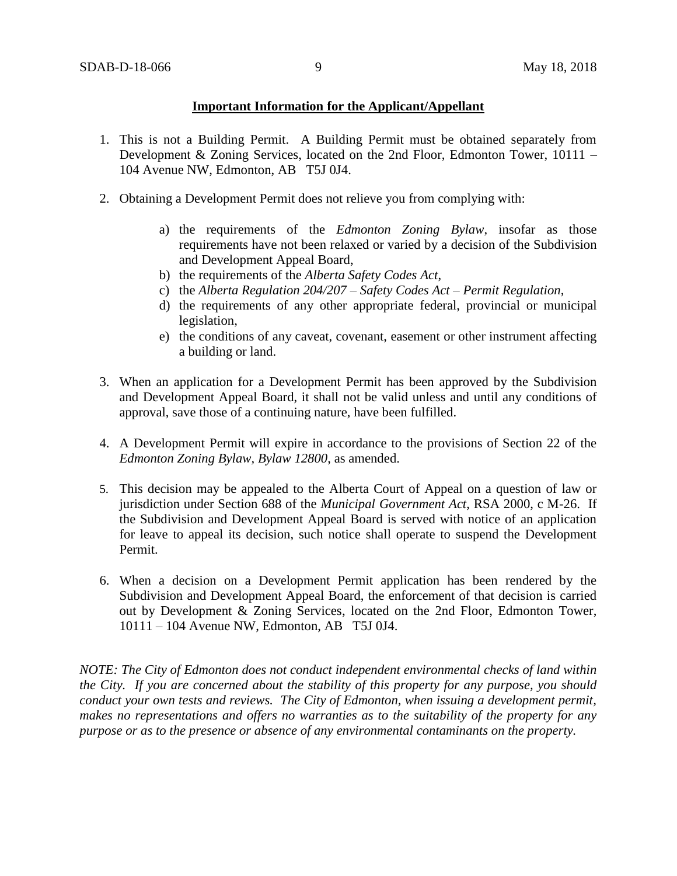## **Important Information for the Applicant/Appellant**

- 1. This is not a Building Permit. A Building Permit must be obtained separately from Development & Zoning Services, located on the 2nd Floor, Edmonton Tower, 10111 – 104 Avenue NW, Edmonton, AB T5J 0J4.
- 2. Obtaining a Development Permit does not relieve you from complying with:
	- a) the requirements of the *Edmonton Zoning Bylaw*, insofar as those requirements have not been relaxed or varied by a decision of the Subdivision and Development Appeal Board,
	- b) the requirements of the *Alberta Safety Codes Act*,
	- c) the *Alberta Regulation 204/207 – Safety Codes Act – Permit Regulation*,
	- d) the requirements of any other appropriate federal, provincial or municipal legislation,
	- e) the conditions of any caveat, covenant, easement or other instrument affecting a building or land.
- 3. When an application for a Development Permit has been approved by the Subdivision and Development Appeal Board, it shall not be valid unless and until any conditions of approval, save those of a continuing nature, have been fulfilled.
- 4. A Development Permit will expire in accordance to the provisions of Section 22 of the *Edmonton Zoning Bylaw, Bylaw 12800*, as amended.
- 5. This decision may be appealed to the Alberta Court of Appeal on a question of law or jurisdiction under Section 688 of the *Municipal Government Act*, RSA 2000, c M-26. If the Subdivision and Development Appeal Board is served with notice of an application for leave to appeal its decision, such notice shall operate to suspend the Development Permit.
- 6. When a decision on a Development Permit application has been rendered by the Subdivision and Development Appeal Board, the enforcement of that decision is carried out by Development & Zoning Services, located on the 2nd Floor, Edmonton Tower, 10111 – 104 Avenue NW, Edmonton, AB T5J 0J4.

*NOTE: The City of Edmonton does not conduct independent environmental checks of land within the City. If you are concerned about the stability of this property for any purpose, you should conduct your own tests and reviews. The City of Edmonton, when issuing a development permit, makes no representations and offers no warranties as to the suitability of the property for any purpose or as to the presence or absence of any environmental contaminants on the property.*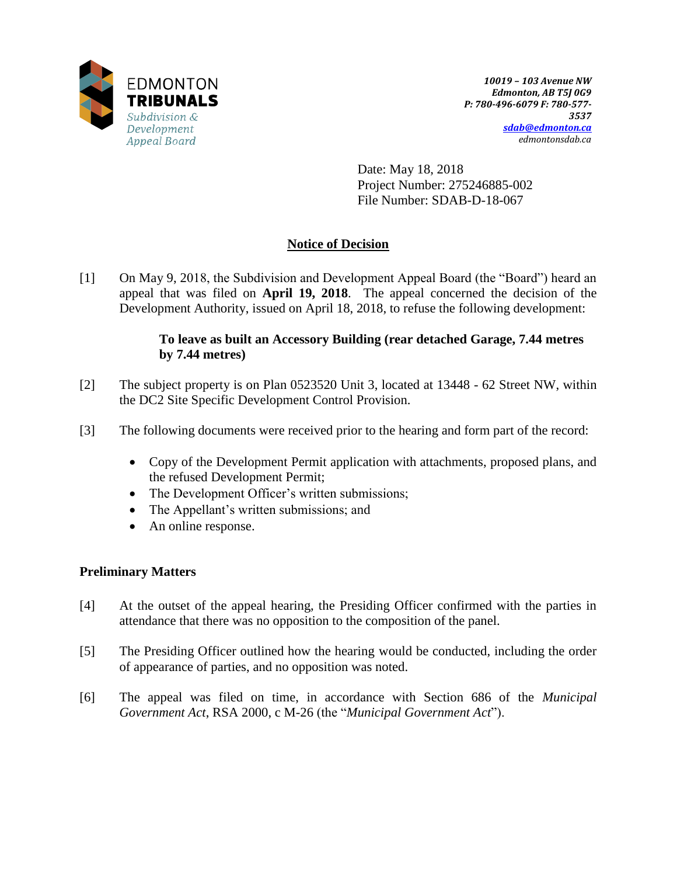

Date: May 18, 2018 Project Number: 275246885-002 File Number: SDAB-D-18-067

# **Notice of Decision**

[1] On May 9, 2018, the Subdivision and Development Appeal Board (the "Board") heard an appeal that was filed on **April 19, 2018**. The appeal concerned the decision of the Development Authority, issued on April 18, 2018, to refuse the following development:

## **To leave as built an Accessory Building (rear detached Garage, 7.44 metres by 7.44 metres)**

- [2] The subject property is on Plan 0523520 Unit 3, located at 13448 62 Street NW, within the DC2 Site Specific Development Control Provision.
- [3] The following documents were received prior to the hearing and form part of the record:
	- Copy of the Development Permit application with attachments, proposed plans, and the refused Development Permit;
	- The Development Officer's written submissions;
	- The Appellant's written submissions; and
	- An online response.

## **Preliminary Matters**

- [4] At the outset of the appeal hearing, the Presiding Officer confirmed with the parties in attendance that there was no opposition to the composition of the panel.
- [5] The Presiding Officer outlined how the hearing would be conducted, including the order of appearance of parties, and no opposition was noted.
- [6] The appeal was filed on time, in accordance with Section 686 of the *Municipal Government Act*, RSA 2000, c M-26 (the "*Municipal Government Act*").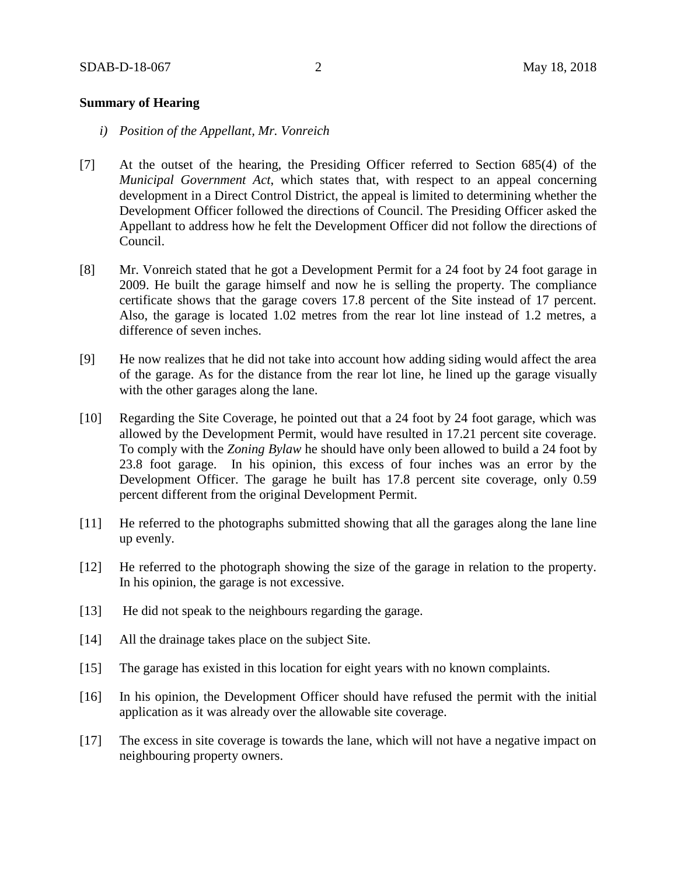#### **Summary of Hearing**

- *i) Position of the Appellant, Mr. Vonreich*
- [7] At the outset of the hearing, the Presiding Officer referred to Section 685(4) of the *Municipal Government Act*, which states that, with respect to an appeal concerning development in a Direct Control District, the appeal is limited to determining whether the Development Officer followed the directions of Council. The Presiding Officer asked the Appellant to address how he felt the Development Officer did not follow the directions of Council.
- [8] Mr. Vonreich stated that he got a Development Permit for a 24 foot by 24 foot garage in 2009. He built the garage himself and now he is selling the property. The compliance certificate shows that the garage covers 17.8 percent of the Site instead of 17 percent. Also, the garage is located 1.02 metres from the rear lot line instead of 1.2 metres, a difference of seven inches.
- [9] He now realizes that he did not take into account how adding siding would affect the area of the garage. As for the distance from the rear lot line, he lined up the garage visually with the other garages along the lane.
- [10] Regarding the Site Coverage, he pointed out that a 24 foot by 24 foot garage, which was allowed by the Development Permit, would have resulted in 17.21 percent site coverage. To comply with the *Zoning Bylaw* he should have only been allowed to build a 24 foot by 23.8 foot garage. In his opinion, this excess of four inches was an error by the Development Officer. The garage he built has 17.8 percent site coverage, only 0.59 percent different from the original Development Permit.
- [11] He referred to the photographs submitted showing that all the garages along the lane line up evenly.
- [12] He referred to the photograph showing the size of the garage in relation to the property. In his opinion, the garage is not excessive.
- [13] He did not speak to the neighbours regarding the garage.
- [14] All the drainage takes place on the subject Site.
- [15] The garage has existed in this location for eight years with no known complaints.
- [16] In his opinion, the Development Officer should have refused the permit with the initial application as it was already over the allowable site coverage.
- [17] The excess in site coverage is towards the lane, which will not have a negative impact on neighbouring property owners.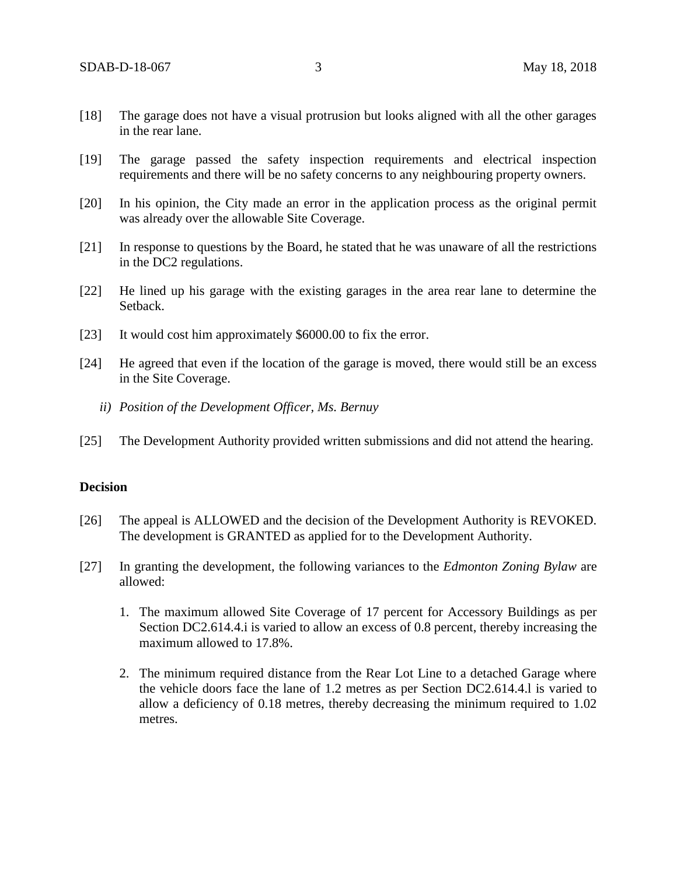- [18] The garage does not have a visual protrusion but looks aligned with all the other garages in the rear lane.
- [19] The garage passed the safety inspection requirements and electrical inspection requirements and there will be no safety concerns to any neighbouring property owners.
- [20] In his opinion, the City made an error in the application process as the original permit was already over the allowable Site Coverage.
- [21] In response to questions by the Board, he stated that he was unaware of all the restrictions in the DC2 regulations.
- [22] He lined up his garage with the existing garages in the area rear lane to determine the Setback.
- [23] It would cost him approximately \$6000.00 to fix the error.
- [24] He agreed that even if the location of the garage is moved, there would still be an excess in the Site Coverage.
	- *ii) Position of the Development Officer, Ms. Bernuy*
- [25] The Development Authority provided written submissions and did not attend the hearing.

### **Decision**

- [26] The appeal is ALLOWED and the decision of the Development Authority is REVOKED. The development is GRANTED as applied for to the Development Authority.
- [27] In granting the development, the following variances to the *Edmonton Zoning Bylaw* are allowed:
	- 1. The maximum allowed Site Coverage of 17 percent for Accessory Buildings as per Section DC2.614.4.i is varied to allow an excess of 0.8 percent, thereby increasing the maximum allowed to 17.8%.
	- 2. The minimum required distance from the Rear Lot Line to a detached Garage where the vehicle doors face the lane of 1.2 metres as per Section DC2.614.4.l is varied to allow a deficiency of 0.18 metres, thereby decreasing the minimum required to 1.02 metres.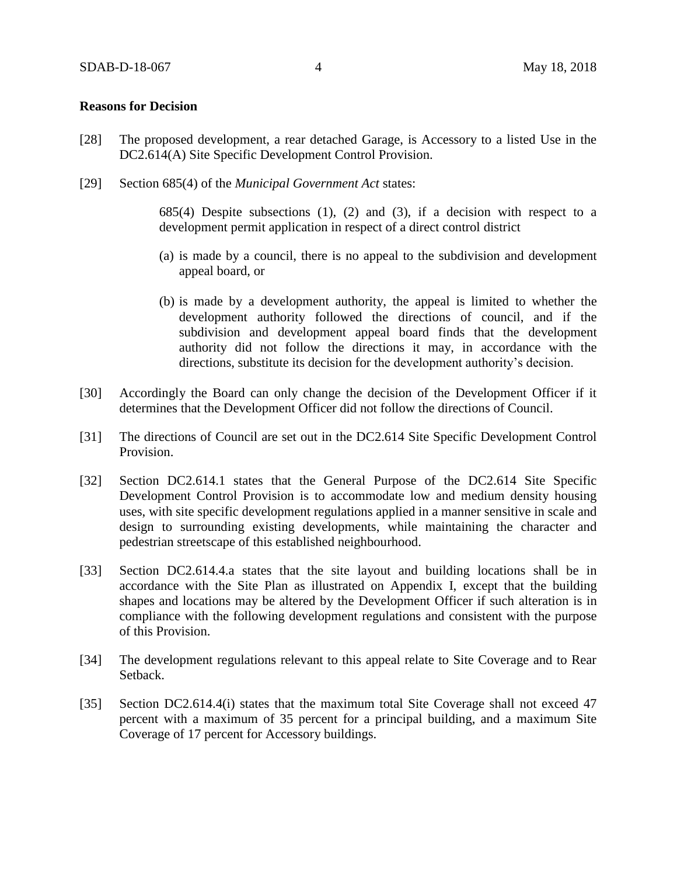#### **Reasons for Decision**

- [28] The proposed development, a rear detached Garage, is Accessory to a listed Use in the DC2.614(A) Site Specific Development Control Provision.
- [29] Section 685(4) of the *Municipal Government Act* states:

 $685(4)$  Despite subsections (1), (2) and (3), if a decision with respect to a development permit application in respect of a direct control district

- (a) is made by a council, there is no appeal to the subdivision and development appeal board, or
- (b) is made by a development authority, the appeal is limited to whether the development authority followed the directions of council, and if the subdivision and development appeal board finds that the development authority did not follow the directions it may, in accordance with the directions, substitute its decision for the development authority's decision.
- [30] Accordingly the Board can only change the decision of the Development Officer if it determines that the Development Officer did not follow the directions of Council.
- [31] The directions of Council are set out in the DC2.614 Site Specific Development Control Provision.
- [32] Section DC2.614.1 states that the General Purpose of the DC2.614 Site Specific Development Control Provision is to accommodate low and medium density housing uses, with site specific development regulations applied in a manner sensitive in scale and design to surrounding existing developments, while maintaining the character and pedestrian streetscape of this established neighbourhood.
- [33] Section DC2.614.4.a states that the site layout and building locations shall be in accordance with the Site Plan as illustrated on Appendix I, except that the building shapes and locations may be altered by the Development Officer if such alteration is in compliance with the following development regulations and consistent with the purpose of this Provision.
- [34] The development regulations relevant to this appeal relate to Site Coverage and to Rear Setback.
- [35] Section DC2.614.4(i) states that the maximum total Site Coverage shall not exceed 47 percent with a maximum of 35 percent for a principal building, and a maximum Site Coverage of 17 percent for Accessory buildings.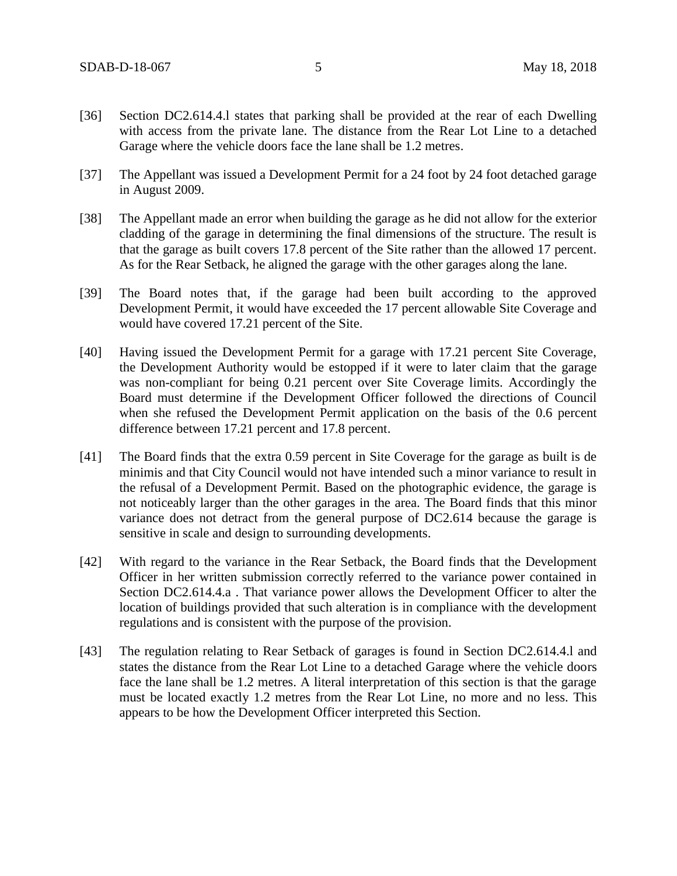- [36] Section DC2.614.4.l states that parking shall be provided at the rear of each Dwelling with access from the private lane. The distance from the Rear Lot Line to a detached Garage where the vehicle doors face the lane shall be 1.2 metres.
- [37] The Appellant was issued a Development Permit for a 24 foot by 24 foot detached garage in August 2009.
- [38] The Appellant made an error when building the garage as he did not allow for the exterior cladding of the garage in determining the final dimensions of the structure. The result is that the garage as built covers 17.8 percent of the Site rather than the allowed 17 percent. As for the Rear Setback, he aligned the garage with the other garages along the lane.
- [39] The Board notes that, if the garage had been built according to the approved Development Permit, it would have exceeded the 17 percent allowable Site Coverage and would have covered 17.21 percent of the Site.
- [40] Having issued the Development Permit for a garage with 17.21 percent Site Coverage, the Development Authority would be estopped if it were to later claim that the garage was non-compliant for being 0.21 percent over Site Coverage limits. Accordingly the Board must determine if the Development Officer followed the directions of Council when she refused the Development Permit application on the basis of the 0.6 percent difference between 17.21 percent and 17.8 percent.
- [41] The Board finds that the extra 0.59 percent in Site Coverage for the garage as built is de minimis and that City Council would not have intended such a minor variance to result in the refusal of a Development Permit. Based on the photographic evidence, the garage is not noticeably larger than the other garages in the area. The Board finds that this minor variance does not detract from the general purpose of DC2.614 because the garage is sensitive in scale and design to surrounding developments.
- [42] With regard to the variance in the Rear Setback, the Board finds that the Development Officer in her written submission correctly referred to the variance power contained in Section DC2.614.4.a . That variance power allows the Development Officer to alter the location of buildings provided that such alteration is in compliance with the development regulations and is consistent with the purpose of the provision.
- [43] The regulation relating to Rear Setback of garages is found in Section DC2.614.4.1 and states the distance from the Rear Lot Line to a detached Garage where the vehicle doors face the lane shall be 1.2 metres. A literal interpretation of this section is that the garage must be located exactly 1.2 metres from the Rear Lot Line, no more and no less. This appears to be how the Development Officer interpreted this Section.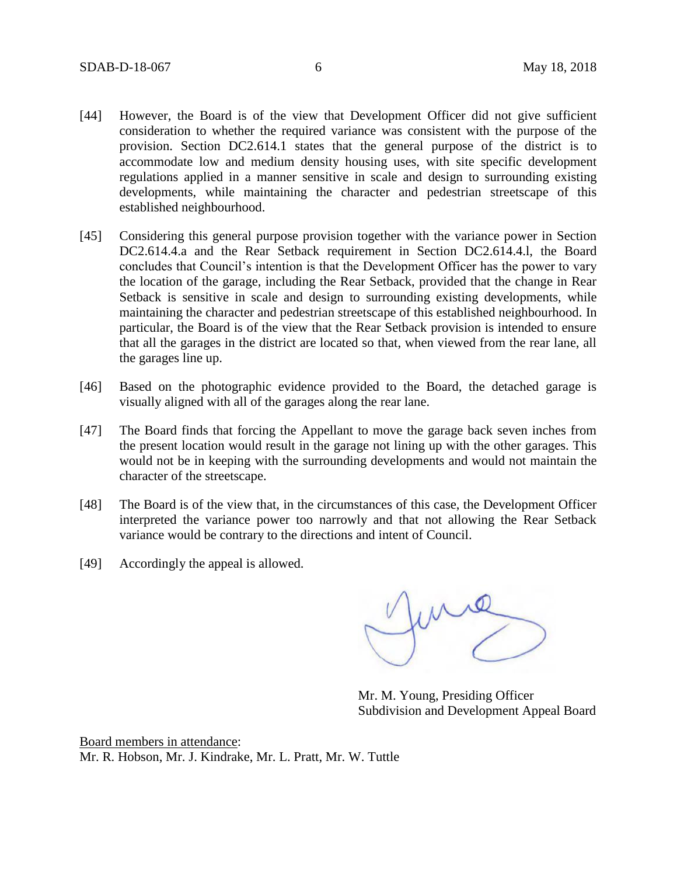- [44] However, the Board is of the view that Development Officer did not give sufficient consideration to whether the required variance was consistent with the purpose of the provision. Section DC2.614.1 states that the general purpose of the district is to accommodate low and medium density housing uses, with site specific development regulations applied in a manner sensitive in scale and design to surrounding existing developments, while maintaining the character and pedestrian streetscape of this established neighbourhood.
- [45] Considering this general purpose provision together with the variance power in Section DC2.614.4.a and the Rear Setback requirement in Section DC2.614.4.l, the Board concludes that Council's intention is that the Development Officer has the power to vary the location of the garage, including the Rear Setback, provided that the change in Rear Setback is sensitive in scale and design to surrounding existing developments, while maintaining the character and pedestrian streetscape of this established neighbourhood. In particular, the Board is of the view that the Rear Setback provision is intended to ensure that all the garages in the district are located so that, when viewed from the rear lane, all the garages line up.
- [46] Based on the photographic evidence provided to the Board, the detached garage is visually aligned with all of the garages along the rear lane.
- [47] The Board finds that forcing the Appellant to move the garage back seven inches from the present location would result in the garage not lining up with the other garages. This would not be in keeping with the surrounding developments and would not maintain the character of the streetscape.
- [48] The Board is of the view that, in the circumstances of this case, the Development Officer interpreted the variance power too narrowly and that not allowing the Rear Setback variance would be contrary to the directions and intent of Council.
- [49] Accordingly the appeal is allowed.

me

Mr. M. Young, Presiding Officer Subdivision and Development Appeal Board

Board members in attendance: Mr. R. Hobson, Mr. J. Kindrake, Mr. L. Pratt, Mr. W. Tuttle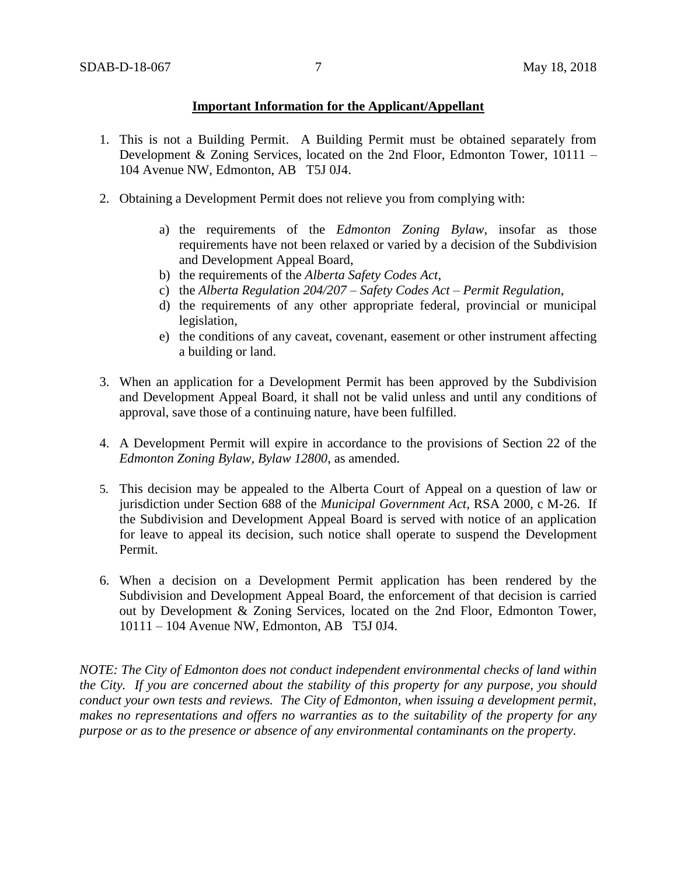## **Important Information for the Applicant/Appellant**

- 1. This is not a Building Permit. A Building Permit must be obtained separately from Development & Zoning Services, located on the 2nd Floor, Edmonton Tower, 10111 – 104 Avenue NW, Edmonton, AB T5J 0J4.
- 2. Obtaining a Development Permit does not relieve you from complying with:
	- a) the requirements of the *Edmonton Zoning Bylaw*, insofar as those requirements have not been relaxed or varied by a decision of the Subdivision and Development Appeal Board,
	- b) the requirements of the *Alberta Safety Codes Act*,
	- c) the *Alberta Regulation 204/207 – Safety Codes Act – Permit Regulation*,
	- d) the requirements of any other appropriate federal, provincial or municipal legislation,
	- e) the conditions of any caveat, covenant, easement or other instrument affecting a building or land.
- 3. When an application for a Development Permit has been approved by the Subdivision and Development Appeal Board, it shall not be valid unless and until any conditions of approval, save those of a continuing nature, have been fulfilled.
- 4. A Development Permit will expire in accordance to the provisions of Section 22 of the *Edmonton Zoning Bylaw, Bylaw 12800*, as amended.
- 5. This decision may be appealed to the Alberta Court of Appeal on a question of law or jurisdiction under Section 688 of the *Municipal Government Act*, RSA 2000, c M-26. If the Subdivision and Development Appeal Board is served with notice of an application for leave to appeal its decision, such notice shall operate to suspend the Development Permit.
- 6. When a decision on a Development Permit application has been rendered by the Subdivision and Development Appeal Board, the enforcement of that decision is carried out by Development & Zoning Services, located on the 2nd Floor, Edmonton Tower, 10111 – 104 Avenue NW, Edmonton, AB T5J 0J4.

*NOTE: The City of Edmonton does not conduct independent environmental checks of land within the City. If you are concerned about the stability of this property for any purpose, you should conduct your own tests and reviews. The City of Edmonton, when issuing a development permit, makes no representations and offers no warranties as to the suitability of the property for any purpose or as to the presence or absence of any environmental contaminants on the property.*